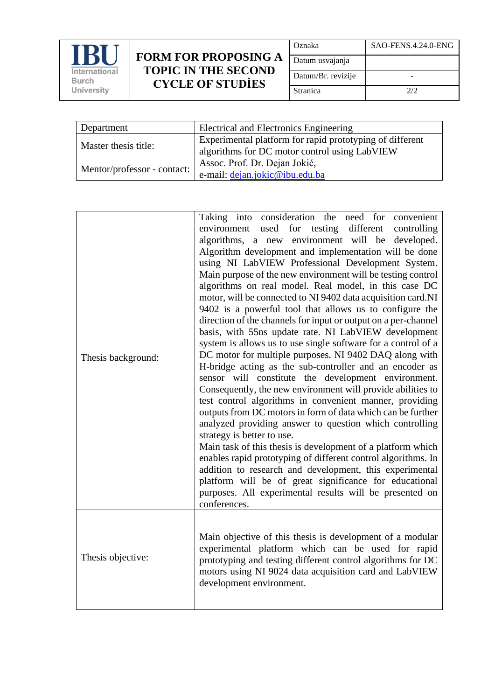

## **FORM FOR PROPOSING A TOPIC IN THE SECOND CYCLE OF STUDİES**

| Oznaka             | SAO-FENS.4.24.0-ENG |
|--------------------|---------------------|
| Datum usvajanja    |                     |
| Datum/Br. revizije |                     |
| Stranica           | 2/2                 |

| Department                  | Electrical and Electronics Engineering                                                                    |
|-----------------------------|-----------------------------------------------------------------------------------------------------------|
| Master thesis title:        | Experimental platform for rapid prototyping of different<br>algorithms for DC motor control using LabVIEW |
| Mentor/professor - contact: | Assoc. Prof. Dr. Dejan Jokić,<br>e-mail: dejan.jokic@ibu.edu.ba                                           |

| Thesis background: | Taking into consideration the need for convenient<br>environment used for testing different<br>controlling<br>algorithms, a new environment will be developed.<br>Algorithm development and implementation will be done<br>using NI LabVIEW Professional Development System.<br>Main purpose of the new environment will be testing control<br>algorithms on real model. Real model, in this case DC<br>motor, will be connected to NI 9402 data acquisition card.NI<br>9402 is a powerful tool that allows us to configure the<br>direction of the channels for input or output on a per-channel<br>basis, with 55ns update rate. NI LabVIEW development<br>system is allows us to use single software for a control of a<br>DC motor for multiple purposes. NI 9402 DAQ along with<br>H-bridge acting as the sub-controller and an encoder as<br>sensor will constitute the development environment.<br>Consequently, the new environment will provide abilities to<br>test control algorithms in convenient manner, providing<br>outputs from DC motors in form of data which can be further<br>analyzed providing answer to question which controlling<br>strategy is better to use.<br>Main task of this thesis is development of a platform which<br>enables rapid prototyping of different control algorithms. In<br>addition to research and development, this experimental<br>platform will be of great significance for educational<br>purposes. All experimental results will be presented on<br>conferences. |
|--------------------|--------------------------------------------------------------------------------------------------------------------------------------------------------------------------------------------------------------------------------------------------------------------------------------------------------------------------------------------------------------------------------------------------------------------------------------------------------------------------------------------------------------------------------------------------------------------------------------------------------------------------------------------------------------------------------------------------------------------------------------------------------------------------------------------------------------------------------------------------------------------------------------------------------------------------------------------------------------------------------------------------------------------------------------------------------------------------------------------------------------------------------------------------------------------------------------------------------------------------------------------------------------------------------------------------------------------------------------------------------------------------------------------------------------------------------------------------------------------------------------------------------------------------|
| Thesis objective:  | Main objective of this thesis is development of a modular<br>experimental platform which can be used for rapid<br>prototyping and testing different control algorithms for DC<br>motors using NI 9024 data acquisition card and LabVIEW<br>development environment.                                                                                                                                                                                                                                                                                                                                                                                                                                                                                                                                                                                                                                                                                                                                                                                                                                                                                                                                                                                                                                                                                                                                                                                                                                                      |